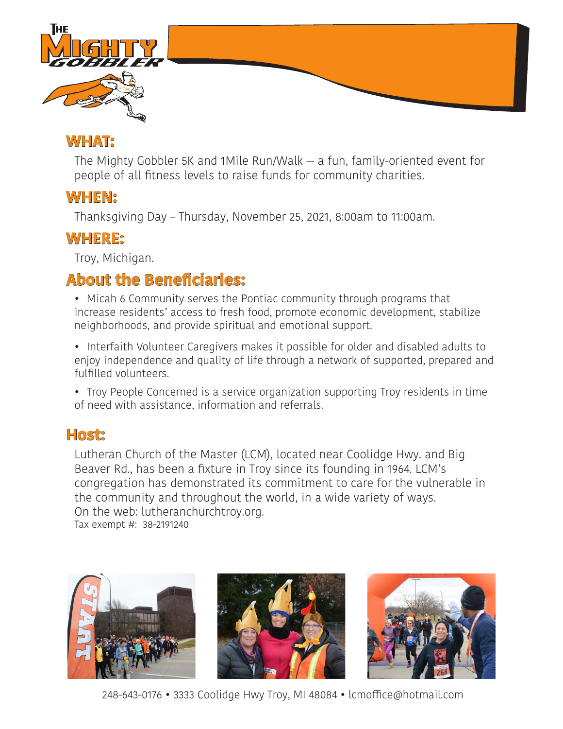

#### **WHAT:**

The Mighty Gobbler 5K and 1Mile Run/Walk — a fun, family-oriented event for people of all fitness levels to raise funds for community charities.

# **WHEN:**

Thanksgiving Day – Thursday, November 25, 2021, 8:00am to 11:00am.

### **WHERE:**

Troy, Michigan.

# **About the Beneficiaries:**

• Micah 6 Community serves the Pontiac community through programs that increase residents' access to fresh food, promote economic development, stabilize neighborhoods, and provide spiritual and emotional support.

• Interfaith Volunteer Caregivers makes it possible for older and disabled adults to enjoy independence and quality of life through a network of supported, prepared and fulfilled volunteers.

• Troy People Concerned is a service organization supporting Troy residents in time of need with assistance, information and referrals.

## **Host:**

Lutheran Church of the Master (LCM), located near Coolidge Hwy. and Big Beaver Rd., has been a fixture in Troy since its founding in 1964. LCM's congregation has demonstrated its commitment to care for the vulnerable in the community and throughout the world, in a wide variety of ways. On the web: lutheranchurchtroy.org. Tax exempt #: 38-2191240



248-643-0176 • 3333 Coolidge Hwy Troy, MI 48084 • lcmoffice@hotmail.com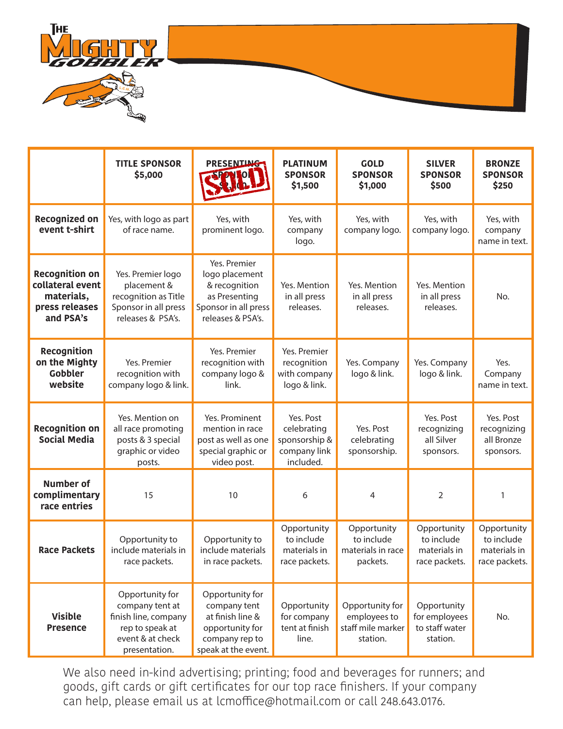

|                                                                                        | <b>TITLE SPONSOR</b><br>\$5,000                                                                                    | PRESENTING<br><b>SPORTOR</b>                                                                                    | <b>PLATINUM</b><br><b>SPONSOR</b><br>\$1,500                           | <b>GOLD</b><br><b>SPONSOR</b><br>\$1,000                         | <b>SILVER</b><br><b>SPONSOR</b><br>\$500                   | <b>BRONZE</b><br><b>SPONSOR</b><br>\$250                   |
|----------------------------------------------------------------------------------------|--------------------------------------------------------------------------------------------------------------------|-----------------------------------------------------------------------------------------------------------------|------------------------------------------------------------------------|------------------------------------------------------------------|------------------------------------------------------------|------------------------------------------------------------|
| <b>Recognized on</b><br>event t-shirt                                                  | Yes, with logo as part<br>of race name.                                                                            | Yes, with<br>prominent logo.                                                                                    | Yes, with<br>company<br>logo.                                          | Yes, with<br>company logo.                                       | Yes, with<br>company logo.                                 | Yes, with<br>company<br>name in text.                      |
| <b>Recognition on</b><br>collateral event<br>materials,<br>press releases<br>and PSA's | Yes. Premier logo<br>placement &<br>recognition as Title<br>Sponsor in all press<br>releases & PSA's.              | Yes. Premier<br>logo placement<br>& recognition<br>as Presenting<br>Sponsor in all press<br>releases & PSA's.   | Yes. Mention<br>in all press<br>releases.                              | Yes. Mention<br>in all press<br>releases.                        | Yes. Mention<br>in all press<br>releases.                  | No.                                                        |
| Recognition<br>on the Mighty<br>Gobbler<br>website                                     | Yes. Premier<br>recognition with<br>company logo & link.                                                           | Yes. Premier<br>recognition with<br>company logo &<br>link.                                                     | Yes. Premier<br>recognition<br>with company<br>logo & link.            | Yes. Company<br>logo & link.                                     | Yes. Company<br>logo & link.                               | Yes.<br>Company<br>name in text.                           |
| <b>Recognition on</b><br><b>Social Media</b>                                           | Yes. Mention on<br>all race promoting<br>posts & 3 special<br>graphic or video<br>posts.                           | Yes. Prominent<br>mention in race<br>post as well as one<br>special graphic or<br>video post.                   | Yes. Post<br>celebrating<br>sponsorship &<br>company link<br>included. | Yes. Post<br>celebrating<br>sponsorship.                         | Yes. Post<br>recognizing<br>all Silver<br>sponsors.        | Yes. Post<br>recognizing<br>all Bronze<br>sponsors.        |
| <b>Number of</b><br>complimentary<br>race entries                                      | 15                                                                                                                 | 10                                                                                                              | 6                                                                      | 4                                                                | $\overline{2}$                                             | 1                                                          |
| <b>Race Packets</b>                                                                    | Opportunity to<br>include materials in<br>race packets.                                                            | Opportunity to<br>include materials<br>in race packets.                                                         | Opportunity<br>to include<br>materials in<br>race packets.             | Opportunity<br>to include<br>materials in race<br>packets.       | Opportunity<br>to include<br>materials in<br>race packets. | Opportunity<br>to include<br>materials in<br>race packets. |
| <b>Visible</b><br><b>Presence</b>                                                      | Opportunity for<br>company tent at<br>finish line, company<br>rep to speak at<br>event & at check<br>presentation. | Opportunity for<br>company tent<br>at finish line &<br>opportunity for<br>company rep to<br>speak at the event. | Opportunity<br>for company<br>tent at finish<br>line.                  | Opportunity for<br>employees to<br>staff mile marker<br>station. | Opportunity<br>for employees<br>to staff water<br>station. | No.                                                        |

We also need in-kind advertising; printing; food and beverages for runners; and goods, gift cards or gift certificates for our top race finishers. If your company can help, please email us at lcmoffice@hotmail.com or call 248.643.0176.